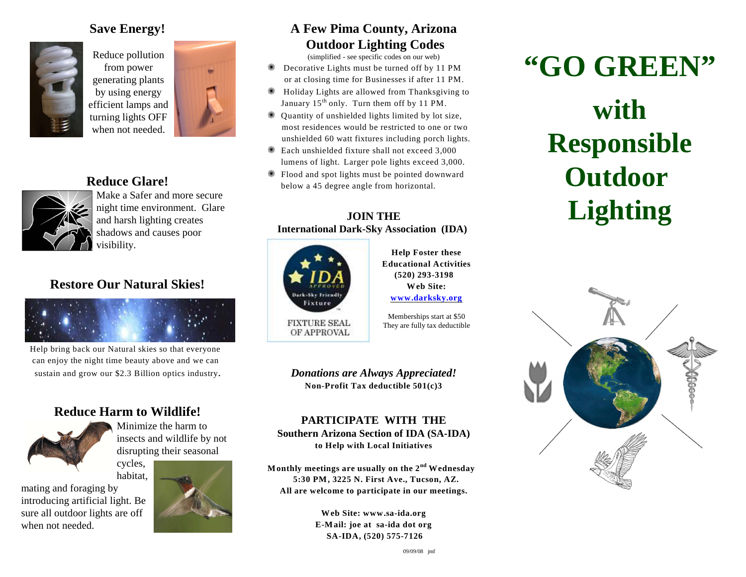#### **Save Energy!**



Reduce pollution from power generating plants by using energy efficient lamps and turning lights OFF when not needed.



#### **Reduce Glare!**



Make a Safer and more secure night time environment. Glare and harsh lighting creates shadows and causes poor visibility.

#### **Restore Our Natural Skies!**



 Help bring back our Natural skies so that everyone can enjoy the night time beauty above and we can sustain and grow our \$2.3 Billion optics industry.

#### **Reduce Harm to Wildlife!**



Minimize the harm to insects and wildlife by not disrupting their seasonal

cycles, habitat,

mating and foraging by introducing artificial light. Be sure all outdoor lights are off when not needed.



#### **A Few Pima County, Arizona Outdoor Lighting Codes**

(simplified - see specific codes on our web)

- { Decorative Lights must be turned off by 11 PM or at closing time for Businesses if after 11 PM.
- { Holiday Lights are allowed from Thanksgiving to January  $15<sup>th</sup>$  only. Turn them off by 11 PM.
- { Quantity of unshielded lights limited by lot size, most residences would be restricted to one or two unshielded 60 watt fixtures including porch lights.
- { Each unshielded fixture shall not exceed 3,000 lumens of light. Larger pole lights exceed 3,000.
- { Flood and spot lights must be pointed downward below a 45 degree angle from horizontal.

#### **JOIN THE International Dark-Sky Association (IDA)**



**Help Foster these Educational Activities (520) 293-3198 Web Site: [www.darksky.org](http://www.darksky.org)**

Memberships start at \$50 They are fully tax deductible

*Donations are Always Appreciated!* **Non-Profit Tax deductible 501(c)3**

**PARTICIPATE WITH THE Southern Arizona Section of IDA (SA-IDA) to Help with Local Initiatives**

**Monthly meetings are usually on the**  $2<sup>nd</sup>$  **Wednesday 5:30 PM, 3225 N. First Ave., Tucson, AZ. All are welcome to participate in our meetings.**

> **Web Site: www.sa-ida.org E-Mail: joe at sa-ida dot org SA-IDA, (520) 575-7126**

## **"GO GREEN"**

# **with Responsible Outdoor Lighting**